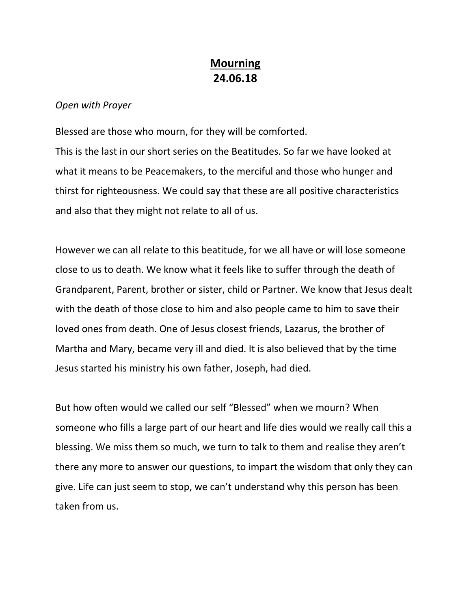## **Mourning 24.06.18**

## *Open with Prayer*

Blessed are those who mourn, for they will be comforted. This is the last in our short series on the Beatitudes. So far we have looked at what it means to be Peacemakers, to the merciful and those who hunger and thirst for righteousness. We could say that these are all positive characteristics and also that they might not relate to all of us.

However we can all relate to this beatitude, for we all have or will lose someone close to us to death. We know what it feels like to suffer through the death of Grandparent, Parent, brother or sister, child or Partner. We know that Jesus dealt with the death of those close to him and also people came to him to save their loved ones from death. One of Jesus closest friends, Lazarus, the brother of Martha and Mary, became very ill and died. It is also believed that by the time Jesus started his ministry his own father, Joseph, had died.

But how often would we called our self "Blessed" when we mourn? When someone who fills a large part of our heart and life dies would we really call this a blessing. We miss them so much, we turn to talk to them and realise they aren't there any more to answer our questions, to impart the wisdom that only they can give. Life can just seem to stop, we can't understand why this person has been taken from us.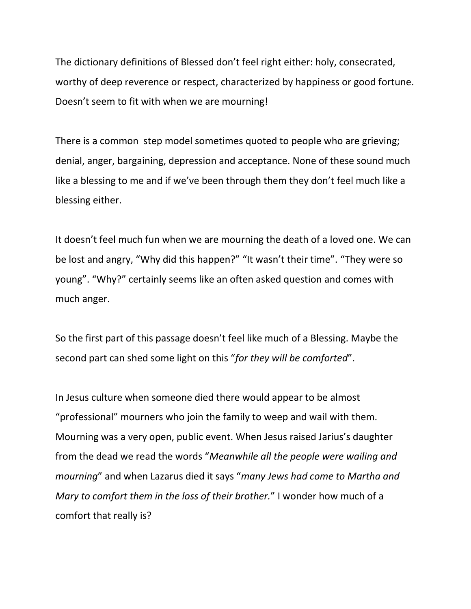The dictionary definitions of Blessed don't feel right either: holy, consecrated, worthy of deep reverence or respect, characterized by happiness or good fortune. Doesn't seem to fit with when we are mourning!

There is a common step model sometimes quoted to people who are grieving; denial, anger, bargaining, depression and acceptance. None of these sound much like a blessing to me and if we've been through them they don't feel much like a blessing either.

It doesn't feel much fun when we are mourning the death of a loved one. We can be lost and angry, "Why did this happen?" "It wasn't their time". "They were so young". "Why?" certainly seems like an often asked question and comes with much anger.

So the first part of this passage doesn't feel like much of a Blessing. Maybe the second part can shed some light on this "*for they will be comforted*".

In Jesus culture when someone died there would appear to be almost "professional" mourners who join the family to weep and wail with them. Mourning was a very open, public event. When Jesus raised Jarius's daughter from the dead we read the words "*Meanwhile all the people were wailing and mourning*" and when Lazarus died it says "*many Jews had come to Martha and Mary to comfort them in the loss of their brother.*" I wonder how much of a comfort that really is?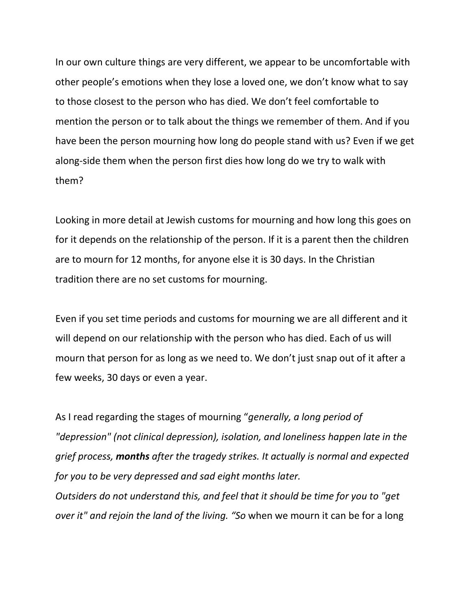In our own culture things are very different, we appear to be uncomfortable with other people's emotions when they lose a loved one, we don't know what to say to those closest to the person who has died. We don't feel comfortable to mention the person or to talk about the things we remember of them. And if you have been the person mourning how long do people stand with us? Even if we get along-side them when the person first dies how long do we try to walk with them?

Looking in more detail at Jewish customs for mourning and how long this goes on for it depends on the relationship of the person. If it is a parent then the children are to mourn for 12 months, for anyone else it is 30 days. In the Christian tradition there are no set customs for mourning.

Even if you set time periods and customs for mourning we are all different and it will depend on our relationship with the person who has died. Each of us will mourn that person for as long as we need to. We don't just snap out of it after a few weeks, 30 days or even a year.

As I read regarding the stages of mourning "*generally, a long period of "depression" (not clinical depression), isolation, and loneliness happen late in the grief process, months after the tragedy strikes. It actually is normal and expected for you to be very depressed and sad eight months later.* 

*Outsiders do not understand this, and feel that it should be time for you to "get over it" and rejoin the land of the living. "So* when we mourn it can be for a long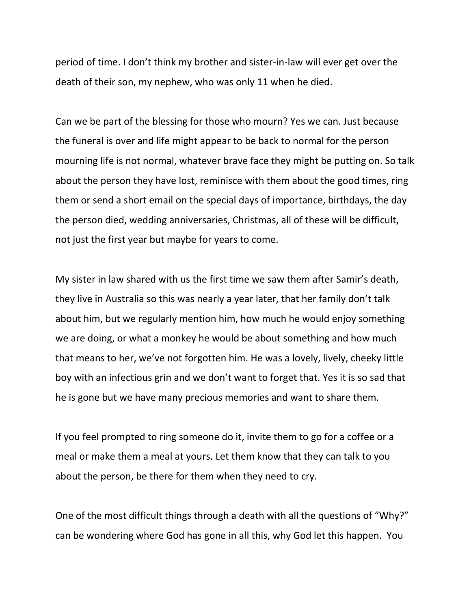period of time. I don't think my brother and sister-in-law will ever get over the death of their son, my nephew, who was only 11 when he died.

Can we be part of the blessing for those who mourn? Yes we can. Just because the funeral is over and life might appear to be back to normal for the person mourning life is not normal, whatever brave face they might be putting on. So talk about the person they have lost, reminisce with them about the good times, ring them or send a short email on the special days of importance, birthdays, the day the person died, wedding anniversaries, Christmas, all of these will be difficult, not just the first year but maybe for years to come.

My sister in law shared with us the first time we saw them after Samir's death, they live in Australia so this was nearly a year later, that her family don't talk about him, but we regularly mention him, how much he would enjoy something we are doing, or what a monkey he would be about something and how much that means to her, we've not forgotten him. He was a lovely, lively, cheeky little boy with an infectious grin and we don't want to forget that. Yes it is so sad that he is gone but we have many precious memories and want to share them.

If you feel prompted to ring someone do it, invite them to go for a coffee or a meal or make them a meal at yours. Let them know that they can talk to you about the person, be there for them when they need to cry.

One of the most difficult things through a death with all the questions of "Why?" can be wondering where God has gone in all this, why God let this happen. You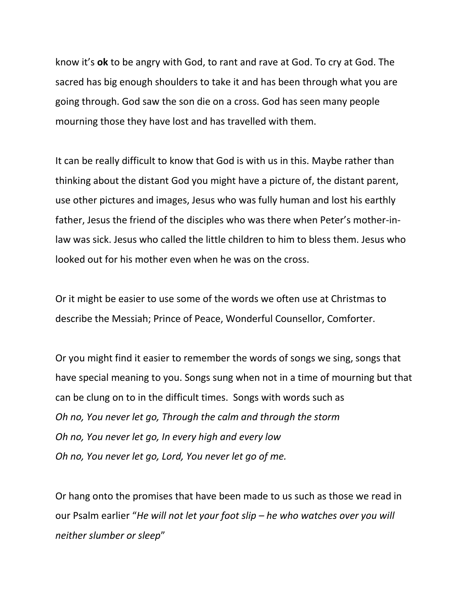know it's **ok** to be angry with God, to rant and rave at God. To cry at God. The sacred has big enough shoulders to take it and has been through what you are going through. God saw the son die on a cross. God has seen many people mourning those they have lost and has travelled with them.

It can be really difficult to know that God is with us in this. Maybe rather than thinking about the distant God you might have a picture of, the distant parent, use other pictures and images, Jesus who was fully human and lost his earthly father, Jesus the friend of the disciples who was there when Peter's mother-inlaw was sick. Jesus who called the little children to him to bless them. Jesus who looked out for his mother even when he was on the cross.

Or it might be easier to use some of the words we often use at Christmas to describe the Messiah; Prince of Peace, Wonderful Counsellor, Comforter.

Or you might find it easier to remember the words of songs we sing, songs that have special meaning to you. Songs sung when not in a time of mourning but that can be clung on to in the difficult times. Songs with words such as *Oh no, You never let go, Through the calm and through the storm Oh no, You never let go, In every high and every low Oh no, You never let go, Lord, You never let go of me.*

Or hang onto the promises that have been made to us such as those we read in our Psalm earlier "*He will not let your foot slip – he who watches over you will neither slumber or sleep*"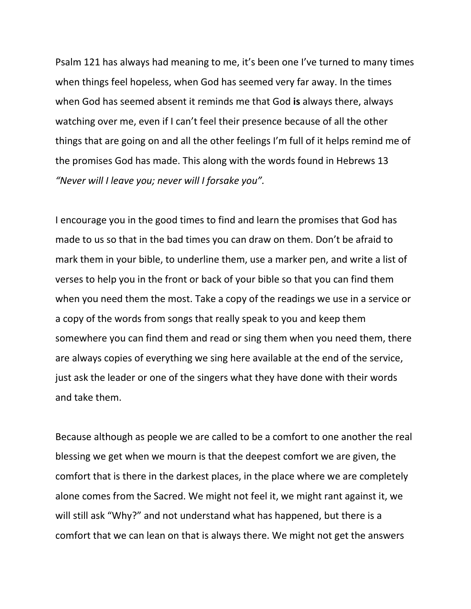Psalm 121 has always had meaning to me, it's been one I've turned to many times when things feel hopeless, when God has seemed very far away. In the times when God has seemed absent it reminds me that God **is** always there, always watching over me, even if I can't feel their presence because of all the other things that are going on and all the other feelings I'm full of it helps remind me of the promises God has made. This along with the words found in Hebrews 13 *"Never will I leave you; never will I forsake you".*

I encourage you in the good times to find and learn the promises that God has made to us so that in the bad times you can draw on them. Don't be afraid to mark them in your bible, to underline them, use a marker pen, and write a list of verses to help you in the front or back of your bible so that you can find them when you need them the most. Take a copy of the readings we use in a service or a copy of the words from songs that really speak to you and keep them somewhere you can find them and read or sing them when you need them, there are always copies of everything we sing here available at the end of the service, just ask the leader or one of the singers what they have done with their words and take them.

Because although as people we are called to be a comfort to one another the real blessing we get when we mourn is that the deepest comfort we are given, the comfort that is there in the darkest places, in the place where we are completely alone comes from the Sacred. We might not feel it, we might rant against it, we will still ask "Why?" and not understand what has happened, but there is a comfort that we can lean on that is always there. We might not get the answers